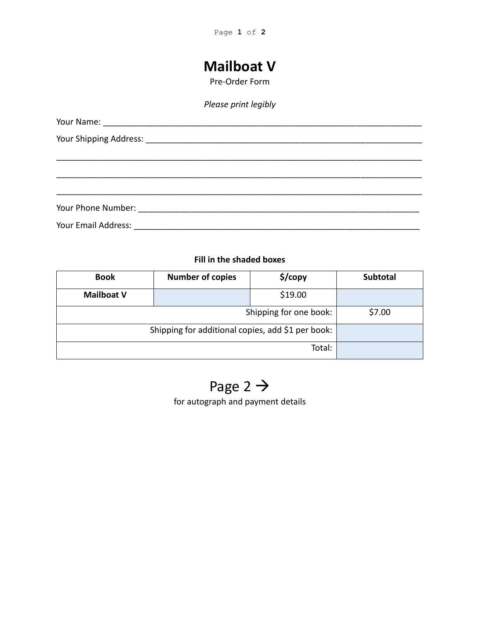## **Mailboat V**

Pre-Order Form

### *Please print legibly*

### **Fill in the shaded boxes**

| <b>Book</b>                                       | <b>Number of copies</b> | \$/copy | <b>Subtotal</b> |
|---------------------------------------------------|-------------------------|---------|-----------------|
| <b>Mailboat V</b>                                 |                         | \$19.00 |                 |
| Shipping for one book:                            |                         |         | \$7.00          |
| Shipping for additional copies, add \$1 per book: |                         |         |                 |
|                                                   |                         | Total:  |                 |

# Page 2  $\rightarrow$

for autograph and payment details